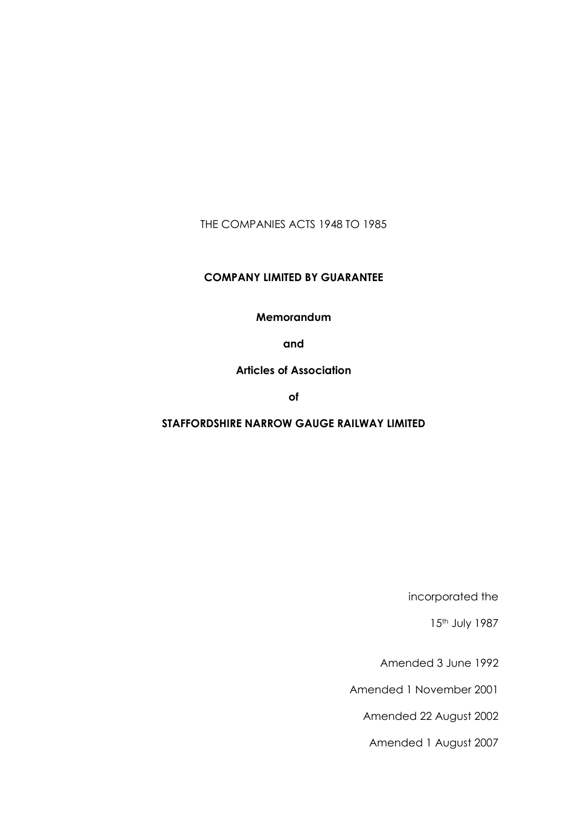THE COMPANIES ACTS 1948 TO 1985

## COMPANY LIMITED BY GUARANTEE

#### Memorandum

and

## Articles of Association

of

# STAFFORDSHIRE NARROW GAUGE RAILWAY LIMITED

incorporated the

15<sup>th</sup> July 1987

Amended 3 June 1992

Amended 1 November 2001

Amended 22 August 2002

Amended 1 August 2007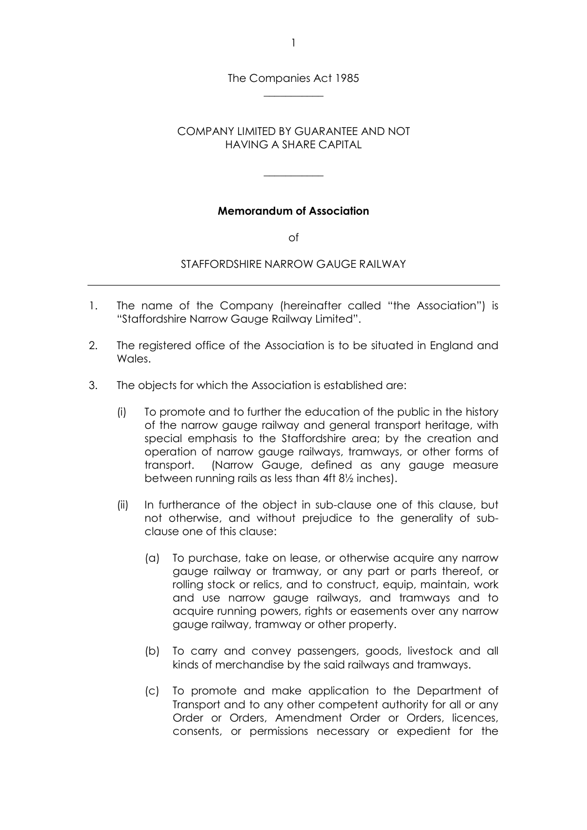The Companies Act 1985 \_\_\_\_\_\_\_\_\_\_\_

## COMPANY LIMITED BY GUARANTEE AND NOT HAVING A SHARE CAPITAL

\_\_\_\_\_\_\_\_\_\_\_

## Memorandum of Association

of

#### STAFFORDSHIRE NARROW GAUGE RAILWAY

- 1. The name of the Company (hereinafter called "the Association") is "Staffordshire Narrow Gauge Railway Limited".
- 2. The registered office of the Association is to be situated in England and Wales.
- 3. The objects for which the Association is established are:
	- (i) To promote and to further the education of the public in the history of the narrow gauge railway and general transport heritage, with special emphasis to the Staffordshire area; by the creation and operation of narrow gauge railways, tramways, or other forms of transport. (Narrow Gauge, defined as any gauge measure between running rails as less than 4ft 8½ inches).
	- (ii) In furtherance of the object in sub-clause one of this clause, but not otherwise, and without prejudice to the generality of subclause one of this clause:
		- (a) To purchase, take on lease, or otherwise acquire any narrow gauge railway or tramway, or any part or parts thereof, or rolling stock or relics, and to construct, equip, maintain, work and use narrow gauge railways, and tramways and to acquire running powers, rights or easements over any narrow gauge railway, tramway or other property.
		- (b) To carry and convey passengers, goods, livestock and all kinds of merchandise by the said railways and tramways.
		- (c) To promote and make application to the Department of Transport and to any other competent authority for all or any Order or Orders, Amendment Order or Orders, licences, consents, or permissions necessary or expedient for the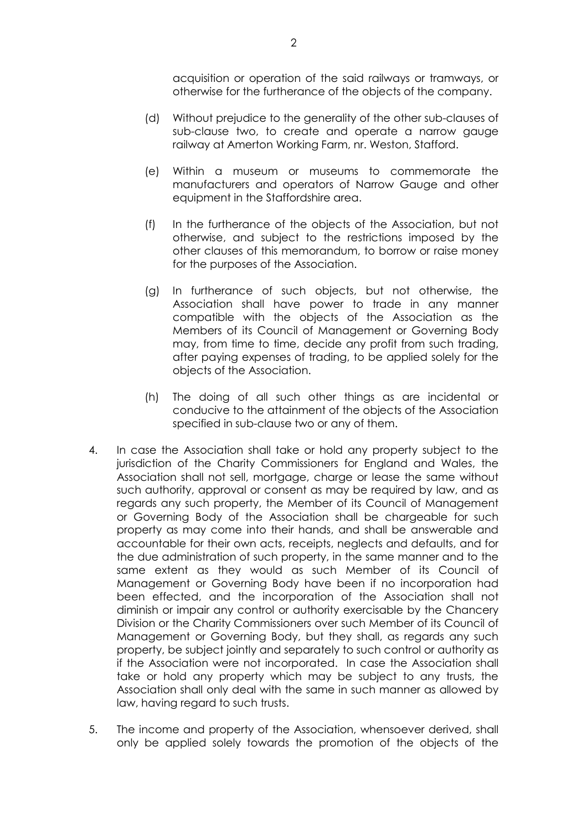acquisition or operation of the said railways or tramways, or otherwise for the furtherance of the objects of the company.

- (d) Without prejudice to the generality of the other sub-clauses of sub-clause two, to create and operate a narrow gauge railway at Amerton Working Farm, nr. Weston, Stafford.
- (e) Within a museum or museums to commemorate the manufacturers and operators of Narrow Gauge and other equipment in the Staffordshire area.
- (f) In the furtherance of the objects of the Association, but not otherwise, and subject to the restrictions imposed by the other clauses of this memorandum, to borrow or raise money for the purposes of the Association.
- (g) In furtherance of such objects, but not otherwise, the Association shall have power to trade in any manner compatible with the objects of the Association as the Members of its Council of Management or Governing Body may, from time to time, decide any profit from such trading, after paying expenses of trading, to be applied solely for the objects of the Association.
- (h) The doing of all such other things as are incidental or conducive to the attainment of the objects of the Association specified in sub-clause two or any of them.
- 4. In case the Association shall take or hold any property subject to the jurisdiction of the Charity Commissioners for England and Wales, the Association shall not sell, mortgage, charge or lease the same without such authority, approval or consent as may be required by law, and as regards any such property, the Member of its Council of Management or Governing Body of the Association shall be chargeable for such property as may come into their hands, and shall be answerable and accountable for their own acts, receipts, neglects and defaults, and for the due administration of such property, in the same manner and to the same extent as they would as such Member of its Council of Management or Governing Body have been if no incorporation had been effected, and the incorporation of the Association shall not diminish or impair any control or authority exercisable by the Chancery Division or the Charity Commissioners over such Member of its Council of Management or Governing Body, but they shall, as regards any such property, be subject jointly and separately to such control or authority as if the Association were not incorporated. In case the Association shall take or hold any property which may be subject to any trusts, the Association shall only deal with the same in such manner as allowed by law, having regard to such trusts.
- 5. The income and property of the Association, whensoever derived, shall only be applied solely towards the promotion of the objects of the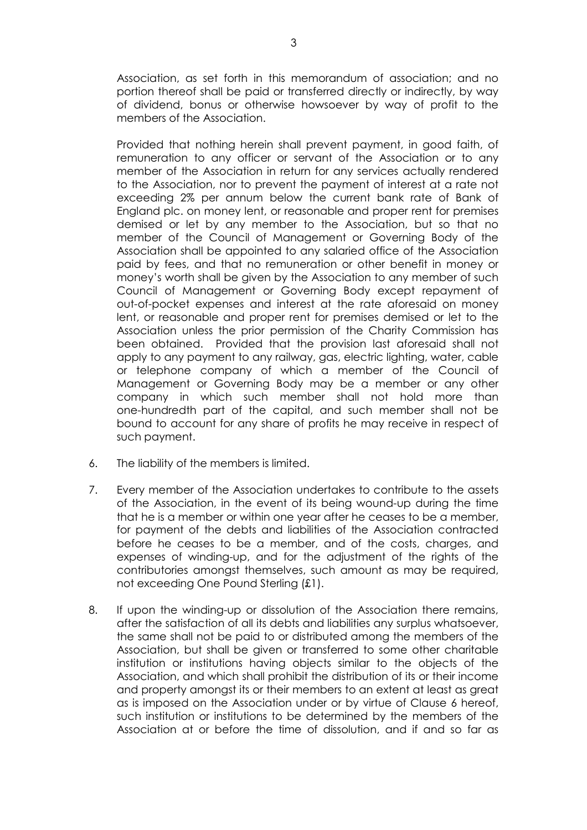Association, as set forth in this memorandum of association; and no portion thereof shall be paid or transferred directly or indirectly, by way of dividend, bonus or otherwise howsoever by way of profit to the members of the Association.

 Provided that nothing herein shall prevent payment, in good faith, of remuneration to any officer or servant of the Association or to any member of the Association in return for any services actually rendered to the Association, nor to prevent the payment of interest at a rate not exceeding 2% per annum below the current bank rate of Bank of England plc. on money lent, or reasonable and proper rent for premises demised or let by any member to the Association, but so that no member of the Council of Management or Governing Body of the Association shall be appointed to any salaried office of the Association paid by fees, and that no remuneration or other benefit in money or money's worth shall be given by the Association to any member of such Council of Management or Governing Body except repayment of out-of-pocket expenses and interest at the rate aforesaid on money lent, or reasonable and proper rent for premises demised or let to the Association unless the prior permission of the Charity Commission has been obtained. Provided that the provision last aforesaid shall not apply to any payment to any railway, gas, electric lighting, water, cable or telephone company of which a member of the Council of Management or Governing Body may be a member or any other company in which such member shall not hold more than one-hundredth part of the capital, and such member shall not be bound to account for any share of profits he may receive in respect of such payment.

- 6. The liability of the members is limited.
- 7. Every member of the Association undertakes to contribute to the assets of the Association, in the event of its being wound-up during the time that he is a member or within one year after he ceases to be a member, for payment of the debts and liabilities of the Association contracted before he ceases to be a member, and of the costs, charges, and expenses of winding-up, and for the adjustment of the rights of the contributories amongst themselves, such amount as may be required, not exceeding One Pound Sterling (£1).
- 8. If upon the winding-up or dissolution of the Association there remains, after the satisfaction of all its debts and liabilities any surplus whatsoever, the same shall not be paid to or distributed among the members of the Association, but shall be given or transferred to some other charitable institution or institutions having objects similar to the objects of the Association, and which shall prohibit the distribution of its or their income and property amongst its or their members to an extent at least as great as is imposed on the Association under or by virtue of Clause 6 hereof, such institution or institutions to be determined by the members of the Association at or before the time of dissolution, and if and so far as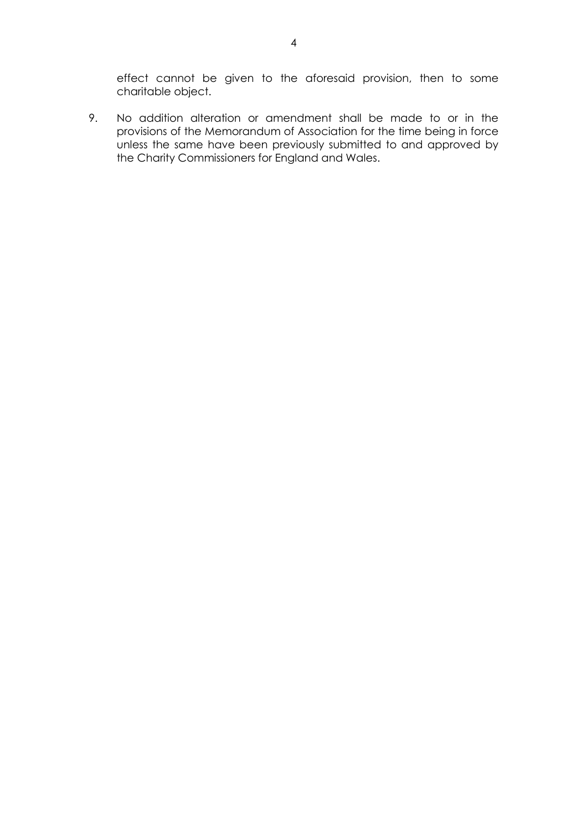effect cannot be given to the aforesaid provision, then to some charitable object.

9. No addition alteration or amendment shall be made to or in the provisions of the Memorandum of Association for the time being in force unless the same have been previously submitted to and approved by the Charity Commissioners for England and Wales.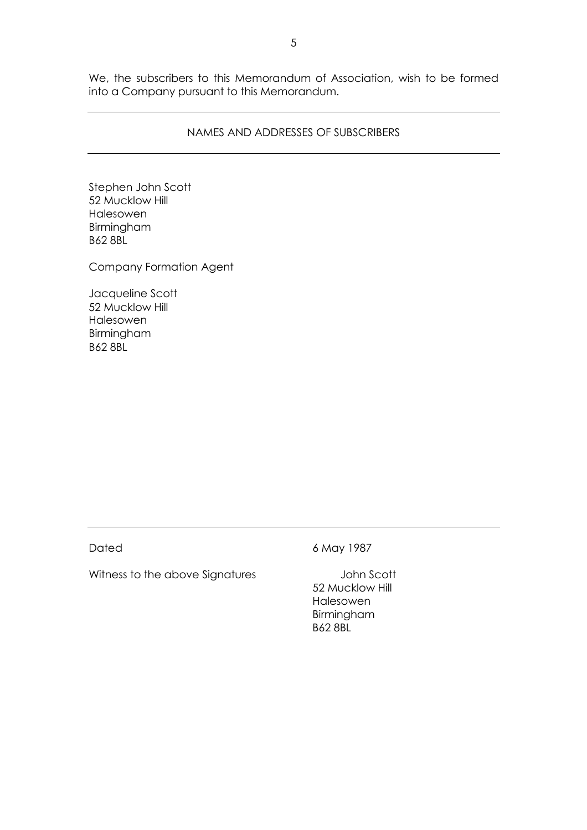We, the subscribers to this Memorandum of Association, wish to be formed into a Company pursuant to this Memorandum.

#### NAMES AND ADDRESSES OF SUBSCRIBERS

Stephen John Scott 52 Mucklow Hill Halesowen Birmingham B62 8BL

Company Formation Agent

Jacqueline Scott 52 Mucklow Hill Halesowen Birmingham B62 8BL

Witness to the above Signatures **State State Second** John Scott

Dated 6 May 1987

 52 Mucklow Hill Halesowen Birmingham B62 8BL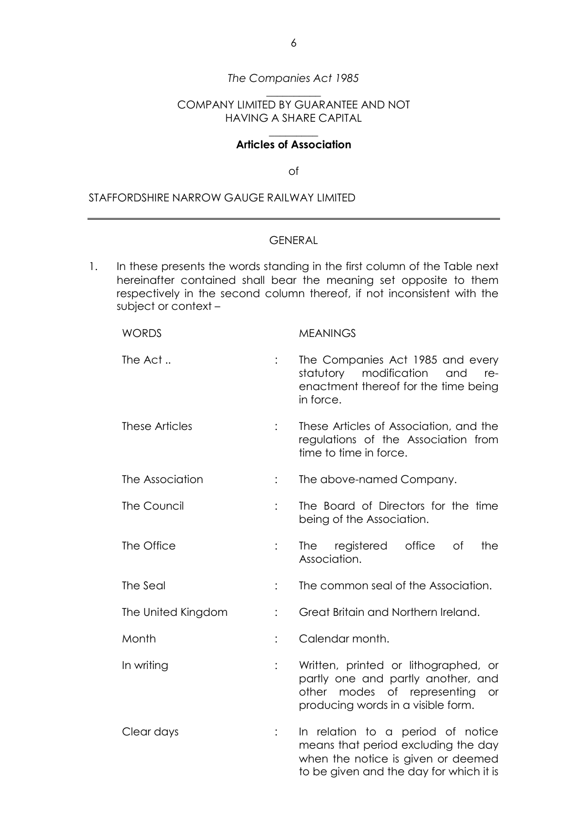## The Companies Act 1985 \_\_\_\_\_\_\_\_\_\_

## COMPANY LIMITED BY GUARANTEE AND NOT HAVING A SHARE CAPITAL

#### \_\_\_\_\_\_\_\_\_ Articles of Association

of

#### STAFFORDSHIRE NARROW GAUGE RAILWAY LIMITED

## GENERAL

1. In these presents the words standing in the first column of the Table next hereinafter contained shall bear the meaning set opposite to them respectively in the second column thereof, if not inconsistent with the subject or context –

| <b>WORDS</b>       |                | <b>MEANINGS</b>                                                                                                                                                 |
|--------------------|----------------|-----------------------------------------------------------------------------------------------------------------------------------------------------------------|
| The Act            |                | The Companies Act 1985 and every<br>statutory<br>modification<br>and<br>re-<br>enactment thereof for the time being<br>in force.                                |
| These Articles     |                | These Articles of Association, and the<br>regulations of the Association from<br>time to time in force.                                                         |
| The Association    | $\ddot{\cdot}$ | The above-named Company.                                                                                                                                        |
| The Council        |                | The Board of Directors for the time<br>being of the Association.                                                                                                |
| The Office         |                | office<br>The registered<br>of<br>the<br>Association.                                                                                                           |
| The Seal           |                | The common seal of the Association.                                                                                                                             |
| The United Kingdom | $\ddot{\cdot}$ | Great Britain and Northern Ireland.                                                                                                                             |
| Month              | $\ddot{\cdot}$ | Calendar month.                                                                                                                                                 |
| In writing         |                | Written, printed or lithographed, or<br>partly one and partly another, and<br>modes of representing<br>other<br><b>or</b><br>producing words in a visible form. |
| Clear days         | $\vdots$       | In relation to a period of notice<br>means that period excluding the day<br>when the notice is given or deemed<br>to be given and the day for which it is       |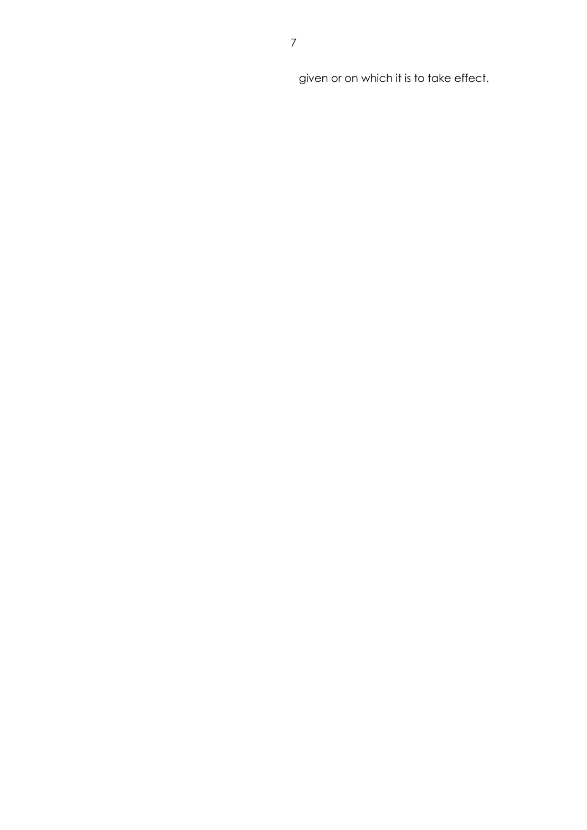given or on which it is to take effect.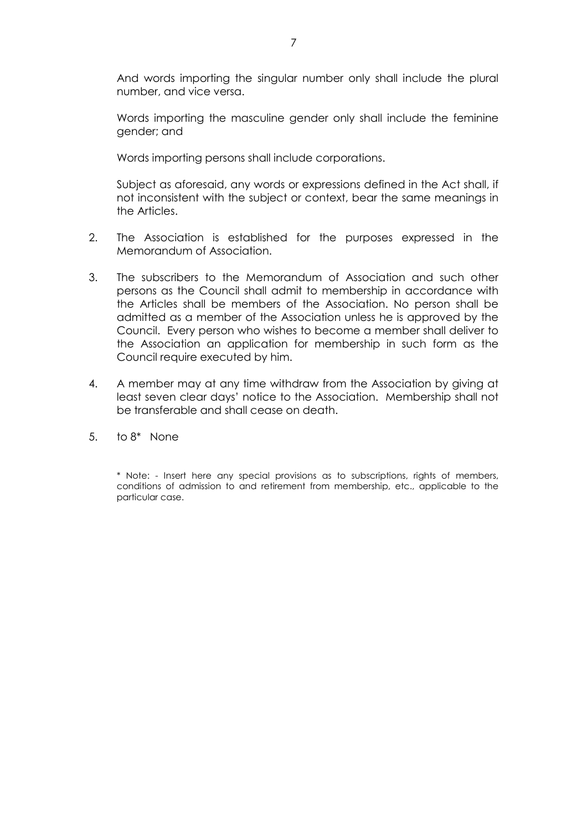And words importing the singular number only shall include the plural number, and vice versa.

 Words importing the masculine gender only shall include the feminine gender; and

Words importing persons shall include corporations.

 Subject as aforesaid, any words or expressions defined in the Act shall, if not inconsistent with the subject or context, bear the same meanings in the Articles.

- 2. The Association is established for the purposes expressed in the Memorandum of Association.
- 3. The subscribers to the Memorandum of Association and such other persons as the Council shall admit to membership in accordance with the Articles shall be members of the Association. No person shall be admitted as a member of the Association unless he is approved by the Council. Every person who wishes to become a member shall deliver to the Association an application for membership in such form as the Council require executed by him.
- 4. A member may at any time withdraw from the Association by giving at least seven clear days' notice to the Association. Membership shall not be transferable and shall cease on death.
- 5. to 8\* None

\* Note: - Insert here any special provisions as to subscriptions, rights of members, conditions of admission to and retirement from membership, etc., applicable to the particular case.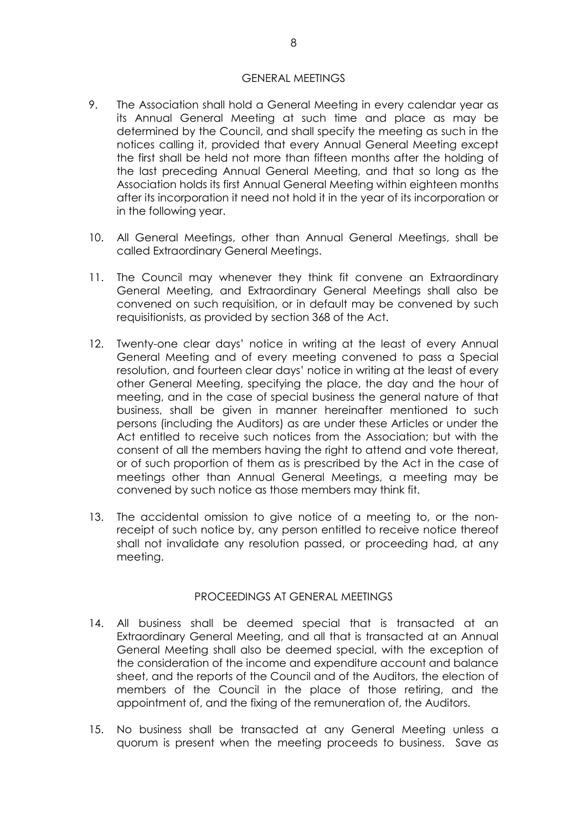#### GENERAL MEETINGS

- 9. The Association shall hold a General Meeting in every calendar year as its Annual General Meeting at such time and place as may be determined by the Council, and shall specify the meeting as such in the notices calling it, provided that every Annual General Meeting except the first shall be held not more than fifteen months after the holding of the last preceding Annual General Meeting, and that so long as the Association holds its first Annual General Meeting within eighteen months after its incorporation it need not hold it in the year of its incorporation or in the following year.
- 10. All General Meetings, other than Annual General Meetings, shall be called Extraordinary General Meetings.
- 11. The Council may whenever they think fit convene an Extraordinary General Meeting, and Extraordinary General Meetings shall also be convened on such requisition, or in default may be convened by such requisitionists, as provided by section 368 of the Act.
- 12. Twenty-one clear days' notice in writing at the least of every Annual General Meeting and of every meeting convened to pass a Special resolution, and fourteen clear days' notice in writing at the least of every other General Meeting, specifying the place, the day and the hour of meeting, and in the case of special business the general nature of that business, shall be given in manner hereinafter mentioned to such persons (including the Auditors) as are under these Articles or under the Act entitled to receive such notices from the Association; but with the consent of all the members having the right to attend and vote thereat, or of such proportion of them as is prescribed by the Act in the case of meetings other than Annual General Meetings, a meeting may be convened by such notice as those members may think fit.
- 13. The accidental omission to give notice of a meeting to, or the nonreceipt of such notice by, any person entitled to receive notice thereof shall not invalidate any resolution passed, or proceeding had, at any meeting.

#### PROCEEDINGS AT GENERAL MEETINGS

- 14. All business shall be deemed special that is transacted at an Extraordinary General Meeting, and all that is transacted at an Annual General Meeting shall also be deemed special, with the exception of the consideration of the income and expenditure account and balance sheet, and the reports of the Council and of the Auditors, the election of members of the Council in the place of those retiring, and the appointment of, and the fixing of the remuneration of, the Auditors.
- 15. No business shall be transacted at any General Meeting unless a quorum is present when the meeting proceeds to business. Save as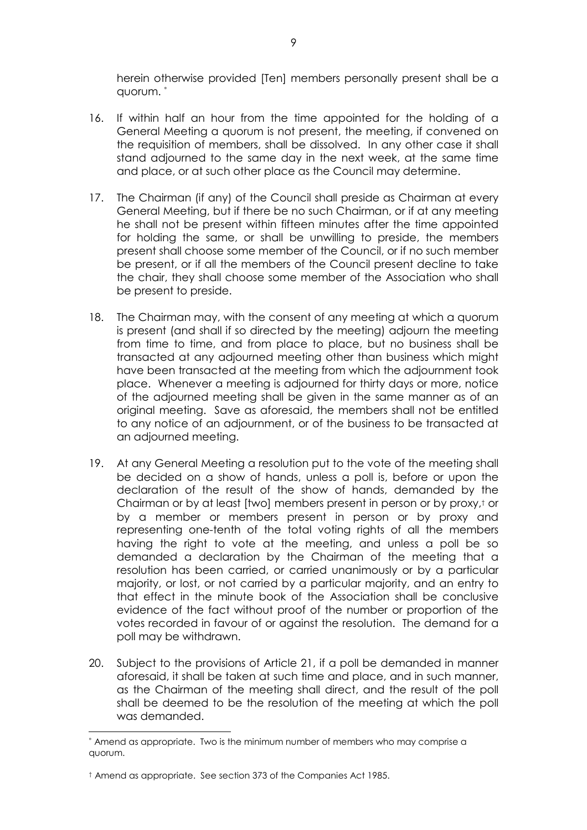herein otherwise provided [Ten] members personally present shall be a quorum. <sup>∗</sup>

- 16. If within half an hour from the time appointed for the holding of a General Meeting a quorum is not present, the meeting, if convened on the requisition of members, shall be dissolved. In any other case it shall stand adjourned to the same day in the next week, at the same time and place, or at such other place as the Council may determine.
- 17. The Chairman (if any) of the Council shall preside as Chairman at every General Meeting, but if there be no such Chairman, or if at any meeting he shall not be present within fifteen minutes after the time appointed for holding the same, or shall be unwilling to preside, the members present shall choose some member of the Council, or if no such member be present, or if all the members of the Council present decline to take the chair, they shall choose some member of the Association who shall be present to preside.
- 18. The Chairman may, with the consent of any meeting at which a quorum is present (and shall if so directed by the meeting) adjourn the meeting from time to time, and from place to place, but no business shall be transacted at any adjourned meeting other than business which might have been transacted at the meeting from which the adjournment took place. Whenever a meeting is adjourned for thirty days or more, notice of the adjourned meeting shall be given in the same manner as of an original meeting. Save as aforesaid, the members shall not be entitled to any notice of an adjournment, or of the business to be transacted at an adjourned meeting.
- 19. At any General Meeting a resolution put to the vote of the meeting shall be decided on a show of hands, unless a poll is, before or upon the declaration of the result of the show of hands, demanded by the Chairman or by at least [two] members present in person or by proxy,† or by a member or members present in person or by proxy and representing one-tenth of the total voting rights of all the members having the right to vote at the meeting, and unless a poll be so demanded a declaration by the Chairman of the meeting that a resolution has been carried, or carried unanimously or by a particular majority, or lost, or not carried by a particular majority, and an entry to that effect in the minute book of the Association shall be conclusive evidence of the fact without proof of the number or proportion of the votes recorded in favour of or against the resolution. The demand for a poll may be withdrawn.
- 20. Subject to the provisions of Article 21, if a poll be demanded in manner aforesaid, it shall be taken at such time and place, and in such manner, as the Chairman of the meeting shall direct, and the result of the poll shall be deemed to be the resolution of the meeting at which the poll was demanded.

 ∗ Amend as appropriate. Two is the minimum number of members who may comprise a quorum.

<sup>†</sup> Amend as appropriate. See section 373 of the Companies Act 1985.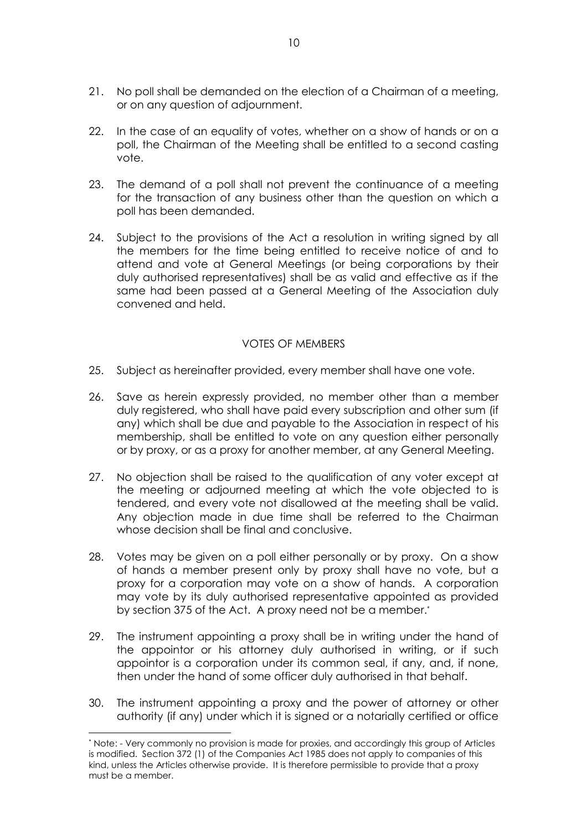- 21. No poll shall be demanded on the election of a Chairman of a meeting, or on any question of adjournment.
- 22. In the case of an equality of votes, whether on a show of hands or on a poll, the Chairman of the Meeting shall be entitled to a second casting vote.
- 23. The demand of a poll shall not prevent the continuance of a meeting for the transaction of any business other than the question on which a poll has been demanded.
- 24. Subject to the provisions of the Act a resolution in writing signed by all the members for the time being entitled to receive notice of and to attend and vote at General Meetings (or being corporations by their duly authorised representatives) shall be as valid and effective as if the same had been passed at a General Meeting of the Association duly convened and held.

## VOTES OF MEMBERS

- 25. Subject as hereinafter provided, every member shall have one vote.
- 26. Save as herein expressly provided, no member other than a member duly registered, who shall have paid every subscription and other sum (if any) which shall be due and payable to the Association in respect of his membership, shall be entitled to vote on any question either personally or by proxy, or as a proxy for another member, at any General Meeting.
- 27. No objection shall be raised to the qualification of any voter except at the meeting or adjourned meeting at which the vote objected to is tendered, and every vote not disallowed at the meeting shall be valid. Any objection made in due time shall be referred to the Chairman whose decision shall be final and conclusive.
- 28. Votes may be given on a poll either personally or by proxy. On a show of hands a member present only by proxy shall have no vote, but a proxy for a corporation may vote on a show of hands. A corporation may vote by its duly authorised representative appointed as provided by section 375 of the Act. A proxy need not be a member.\*
- 29. The instrument appointing a proxy shall be in writing under the hand of the appointor or his attorney duly authorised in writing, or if such appointor is a corporation under its common seal, if any, and, if none, then under the hand of some officer duly authorised in that behalf.
- 30. The instrument appointing a proxy and the power of attorney or other authority (if any) under which it is signed or a notarially certified or office

 $\overline{a}$ 

<sup>\*</sup> Note: - Very commonly no provision is made for proxies, and accordingly this group of Articles is modified. Section 372 (1) of the Companies Act 1985 does not apply to companies of this kind, unless the Articles otherwise provide. It is therefore permissible to provide that a proxy must be a member.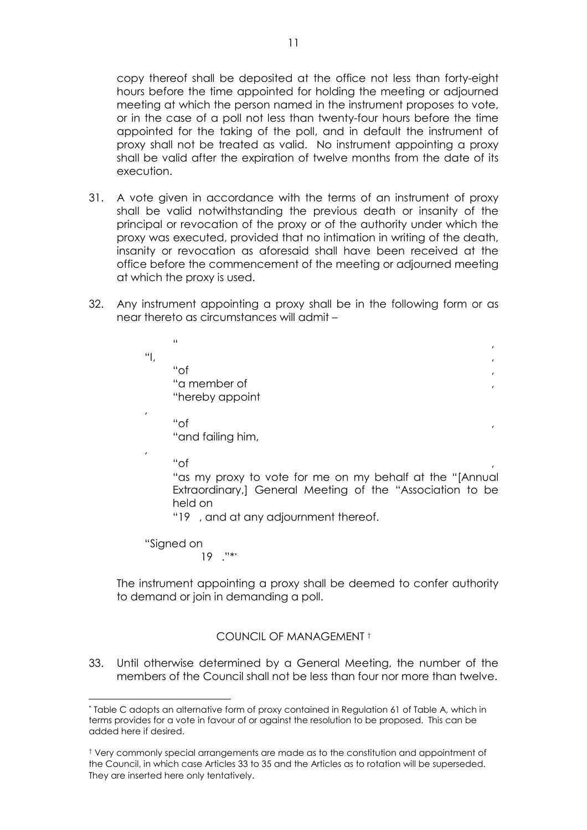copy thereof shall be deposited at the office not less than forty-eight hours before the time appointed for holding the meeting or adjourned meeting at which the person named in the instrument proposes to vote, or in the case of a poll not less than twenty-four hours before the time appointed for the taking of the poll, and in default the instrument of proxy shall not be treated as valid. No instrument appointing a proxy shall be valid after the expiration of twelve months from the date of its execution.

- 31. A vote given in accordance with the terms of an instrument of proxy shall be valid notwithstanding the previous death or insanity of the principal or revocation of the proxy or of the authority under which the proxy was executed, provided that no intimation in writing of the death, insanity or revocation as aforesaid shall have been received at the office before the commencement of the meeting or adjourned meeting at which the proxy is used.
- 32. Any instrument appointing a proxy shall be in the following form or as near thereto as circumstances will admit –

|                           | $\blacksquare$                                           | $\mathbf{r}$ |
|---------------------------|----------------------------------------------------------|--------------|
| $\mathbf{u}_{\mathbf{L}}$ |                                                          | $\mathbf{r}$ |
|                           | "of                                                      | $\mathbf{r}$ |
|                           | "a member of                                             | $\mathbf{r}$ |
|                           | "hereby appoint                                          |              |
| $\prime$                  | "of                                                      |              |
|                           | "and failing him,                                        | ,            |
| $\prime$                  |                                                          |              |
|                           | "of                                                      |              |
|                           | "as my proxy to vote for me on my behalf at the "[Annual |              |
|                           | Extraordinary, General Meeting of the "Association to be |              |
|                           | held on                                                  |              |
|                           | "19, and at any adjournment thereof.                     |              |
|                           |                                                          |              |
|                           | "Signed on<br>$11**$                                     |              |
|                           |                                                          |              |

 The instrument appointing a proxy shall be deemed to confer authority to demand or join in demanding a poll.

## COUNCIL OF MANAGEMENT †

33. Until otherwise determined by a General Meeting, the number of the members of the Council shall not be less than four nor more than twelve.

 $\overline{a}$ \* Table C adopts an alternative form of proxy contained in Regulation 61 of Table A, which in terms provides for a vote in favour of or against the resolution to be proposed. This can be added here if desired.

<sup>†</sup> Very commonly special arrangements are made as to the constitution and appointment of the Council, in which case Articles 33 to 35 and the Articles as to rotation will be superseded. They are inserted here only tentatively.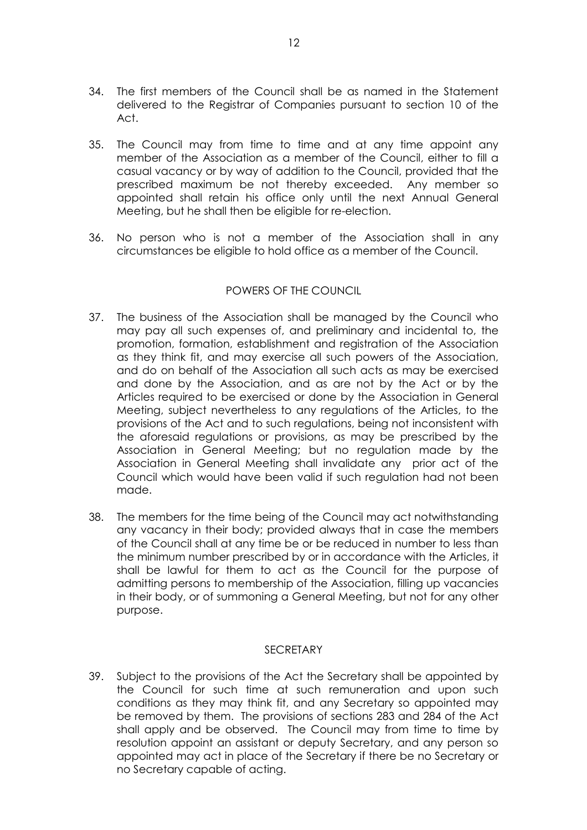- 34. The first members of the Council shall be as named in the Statement delivered to the Registrar of Companies pursuant to section 10 of the Act.
- 35. The Council may from time to time and at any time appoint any member of the Association as a member of the Council, either to fill a casual vacancy or by way of addition to the Council, provided that the prescribed maximum be not thereby exceeded. Any member so appointed shall retain his office only until the next Annual General Meeting, but he shall then be eligible for re-election.
- 36. No person who is not a member of the Association shall in any circumstances be eligible to hold office as a member of the Council.

## POWERS OF THE COUNCIL

- 37. The business of the Association shall be managed by the Council who may pay all such expenses of, and preliminary and incidental to, the promotion, formation, establishment and registration of the Association as they think fit, and may exercise all such powers of the Association, and do on behalf of the Association all such acts as may be exercised and done by the Association, and as are not by the Act or by the Articles required to be exercised or done by the Association in General Meeting, subject nevertheless to any regulations of the Articles, to the provisions of the Act and to such regulations, being not inconsistent with the aforesaid regulations or provisions, as may be prescribed by the Association in General Meeting; but no regulation made by the Association in General Meeting shall invalidate any prior act of the Council which would have been valid if such regulation had not been made.
- 38. The members for the time being of the Council may act notwithstanding any vacancy in their body; provided always that in case the members of the Council shall at any time be or be reduced in number to less than the minimum number prescribed by or in accordance with the Articles, it shall be lawful for them to act as the Council for the purpose of admitting persons to membership of the Association, filling up vacancies in their body, or of summoning a General Meeting, but not for any other purpose.

## SECRETARY

39. Subject to the provisions of the Act the Secretary shall be appointed by the Council for such time at such remuneration and upon such conditions as they may think fit, and any Secretary so appointed may be removed by them. The provisions of sections 283 and 284 of the Act shall apply and be observed. The Council may from time to time by resolution appoint an assistant or deputy Secretary, and any person so appointed may act in place of the Secretary if there be no Secretary or no Secretary capable of acting.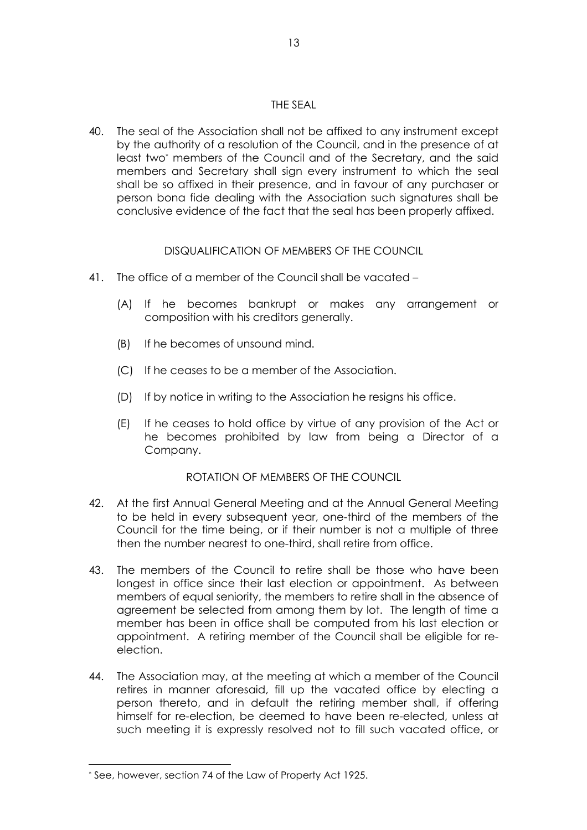## THE SEAL

40. The seal of the Association shall not be affixed to any instrument except by the authority of a resolution of the Council, and in the presence of at least two\* members of the Council and of the Secretary, and the said members and Secretary shall sign every instrument to which the seal shall be so affixed in their presence, and in favour of any purchaser or person bona fide dealing with the Association such signatures shall be conclusive evidence of the fact that the seal has been properly affixed.

# DISQUALIFICATION OF MEMBERS OF THE COUNCIL

- 41. The office of a member of the Council shall be vacated
	- (A) If he becomes bankrupt or makes any arrangement or composition with his creditors generally.
	- (B) If he becomes of unsound mind.
	- (C) If he ceases to be a member of the Association.
	- (D) If by notice in writing to the Association he resigns his office.
	- (E) If he ceases to hold office by virtue of any provision of the Act or he becomes prohibited by law from being a Director of a Company.

## ROTATION OF MEMBERS OF THE COUNCIL

- 42. At the first Annual General Meeting and at the Annual General Meeting to be held in every subsequent year, one-third of the members of the Council for the time being, or if their number is not a multiple of three then the number nearest to one-third, shall retire from office.
- 43. The members of the Council to retire shall be those who have been longest in office since their last election or appointment. As between members of equal seniority, the members to retire shall in the absence of agreement be selected from among them by lot. The length of time a member has been in office shall be computed from his last election or appointment. A retiring member of the Council shall be eligible for reelection.
- 44. The Association may, at the meeting at which a member of the Council retires in manner aforesaid, fill up the vacated office by electing a person thereto, and in default the retiring member shall, if offering himself for re-election, be deemed to have been re-elected, unless at such meeting it is expressly resolved not to fill such vacated office, or

 $\overline{a}$ 

<sup>\*</sup> See, however, section 74 of the Law of Property Act 1925.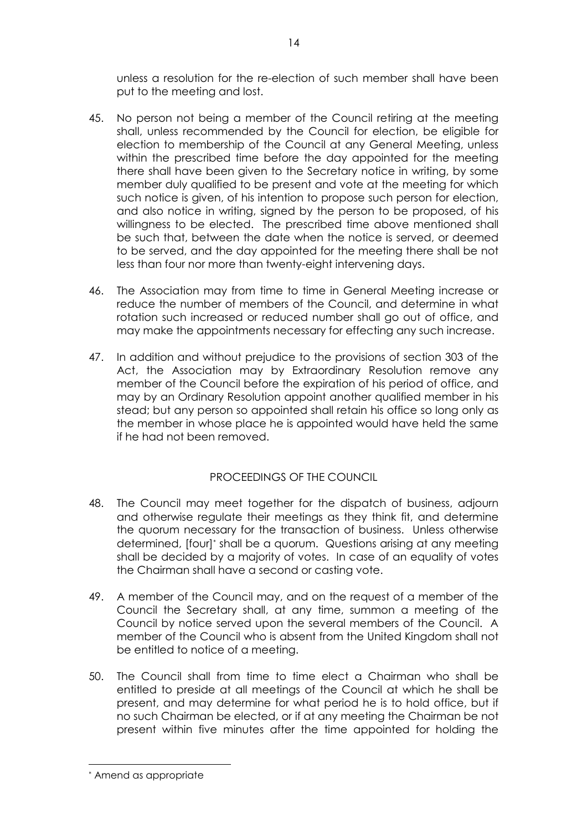unless a resolution for the re-election of such member shall have been put to the meeting and lost.

- 45. No person not being a member of the Council retiring at the meeting shall, unless recommended by the Council for election, be eligible for election to membership of the Council at any General Meeting, unless within the prescribed time before the day appointed for the meeting there shall have been given to the Secretary notice in writing, by some member duly qualified to be present and vote at the meeting for which such notice is given, of his intention to propose such person for election, and also notice in writing, signed by the person to be proposed, of his willingness to be elected. The prescribed time above mentioned shall be such that, between the date when the notice is served, or deemed to be served, and the day appointed for the meeting there shall be not less than four nor more than twenty-eight intervening days.
- 46. The Association may from time to time in General Meeting increase or reduce the number of members of the Council, and determine in what rotation such increased or reduced number shall go out of office, and may make the appointments necessary for effecting any such increase.
- 47. In addition and without prejudice to the provisions of section 303 of the Act, the Association may by Extraordinary Resolution remove any member of the Council before the expiration of his period of office, and may by an Ordinary Resolution appoint another qualified member in his stead; but any person so appointed shall retain his office so long only as the member in whose place he is appointed would have held the same if he had not been removed.

## PROCEEDINGS OF THE COUNCIL

- 48. The Council may meet together for the dispatch of business, adjourn and otherwise regulate their meetings as they think fit, and determine the quorum necessary for the transaction of business. Unless otherwise determined, [four]\* shall be a quorum. Questions arising at any meeting shall be decided by a majority of votes. In case of an equality of votes the Chairman shall have a second or casting vote.
- 49. A member of the Council may, and on the request of a member of the Council the Secretary shall, at any time, summon a meeting of the Council by notice served upon the several members of the Council. A member of the Council who is absent from the United Kingdom shall not be entitled to notice of a meeting.
- 50. The Council shall from time to time elect a Chairman who shall be entitled to preside at all meetings of the Council at which he shall be present, and may determine for what period he is to hold office, but if no such Chairman be elected, or if at any meeting the Chairman be not present within five minutes after the time appointed for holding the

 $\overline{a}$ \* Amend as appropriate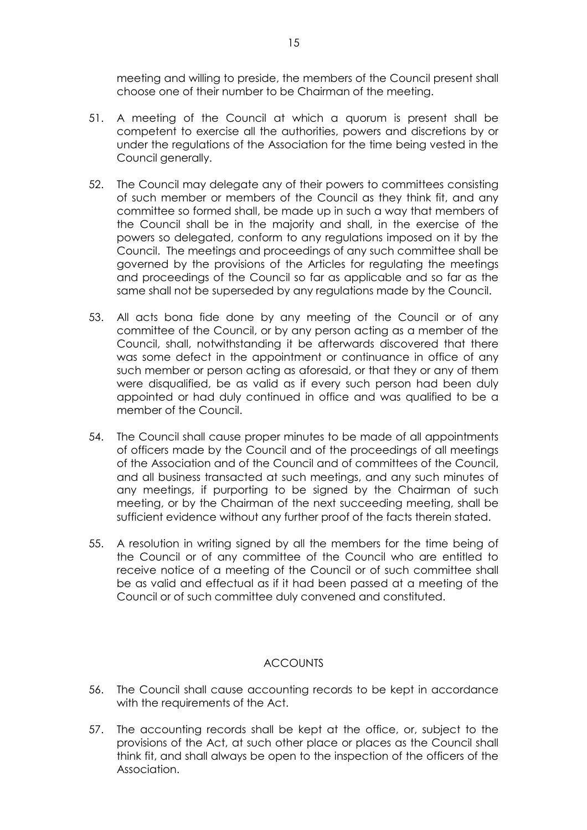meeting and willing to preside, the members of the Council present shall choose one of their number to be Chairman of the meeting.

- 51. A meeting of the Council at which a quorum is present shall be competent to exercise all the authorities, powers and discretions by or under the regulations of the Association for the time being vested in the Council generally.
- 52. The Council may delegate any of their powers to committees consisting of such member or members of the Council as they think fit, and any committee so formed shall, be made up in such a way that members of the Council shall be in the majority and shall, in the exercise of the powers so delegated, conform to any regulations imposed on it by the Council. The meetings and proceedings of any such committee shall be governed by the provisions of the Articles for regulating the meetings and proceedings of the Council so far as applicable and so far as the same shall not be superseded by any regulations made by the Council.
- 53. All acts bona fide done by any meeting of the Council or of any committee of the Council, or by any person acting as a member of the Council, shall, notwithstanding it be afterwards discovered that there was some defect in the appointment or continuance in office of any such member or person acting as aforesaid, or that they or any of them were disqualified, be as valid as if every such person had been duly appointed or had duly continued in office and was qualified to be a member of the Council.
- 54. The Council shall cause proper minutes to be made of all appointments of officers made by the Council and of the proceedings of all meetings of the Association and of the Council and of committees of the Council, and all business transacted at such meetings, and any such minutes of any meetings, if purporting to be signed by the Chairman of such meeting, or by the Chairman of the next succeeding meeting, shall be sufficient evidence without any further proof of the facts therein stated.
- 55. A resolution in writing signed by all the members for the time being of the Council or of any committee of the Council who are entitled to receive notice of a meeting of the Council or of such committee shall be as valid and effectual as if it had been passed at a meeting of the Council or of such committee duly convened and constituted.

# **ACCOUNTS**

- 56. The Council shall cause accounting records to be kept in accordance with the requirements of the Act.
- 57. The accounting records shall be kept at the office, or, subject to the provisions of the Act, at such other place or places as the Council shall think fit, and shall always be open to the inspection of the officers of the Association.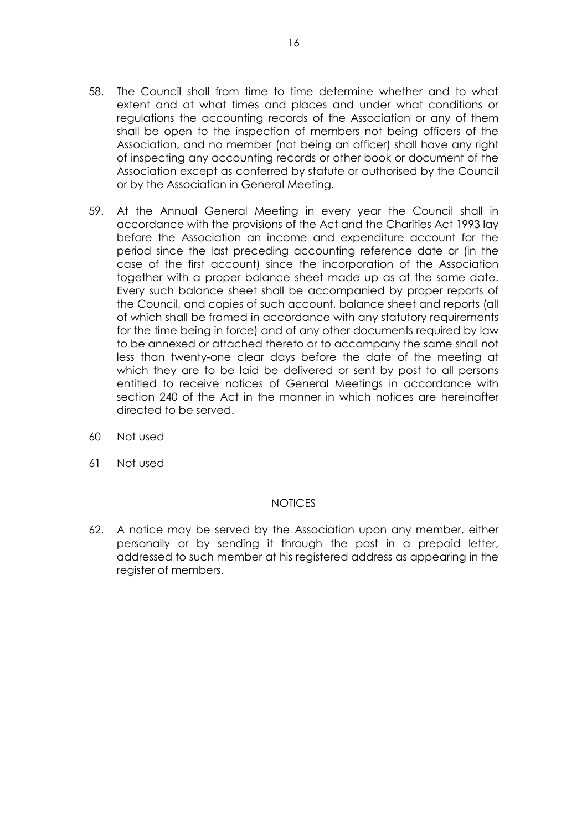- 58. The Council shall from time to time determine whether and to what extent and at what times and places and under what conditions or regulations the accounting records of the Association or any of them shall be open to the inspection of members not being officers of the Association, and no member (not being an officer) shall have any right of inspecting any accounting records or other book or document of the Association except as conferred by statute or authorised by the Council or by the Association in General Meeting.
- 59. At the Annual General Meeting in every year the Council shall in accordance with the provisions of the Act and the Charities Act 1993 lay before the Association an income and expenditure account for the period since the last preceding accounting reference date or (in the case of the first account) since the incorporation of the Association together with a proper balance sheet made up as at the same date. Every such balance sheet shall be accompanied by proper reports of the Council, and copies of such account, balance sheet and reports (all of which shall be framed in accordance with any statutory requirements for the time being in force) and of any other documents required by law to be annexed or attached thereto or to accompany the same shall not less than twenty-one clear days before the date of the meeting at which they are to be laid be delivered or sent by post to all persons entitled to receive notices of General Meetings in accordance with section 240 of the Act in the manner in which notices are hereinafter directed to be served.
- 60 Not used
- 61 Not used

## **NOTICES**

62. A notice may be served by the Association upon any member, either personally or by sending it through the post in a prepaid letter, addressed to such member at his registered address as appearing in the register of members.